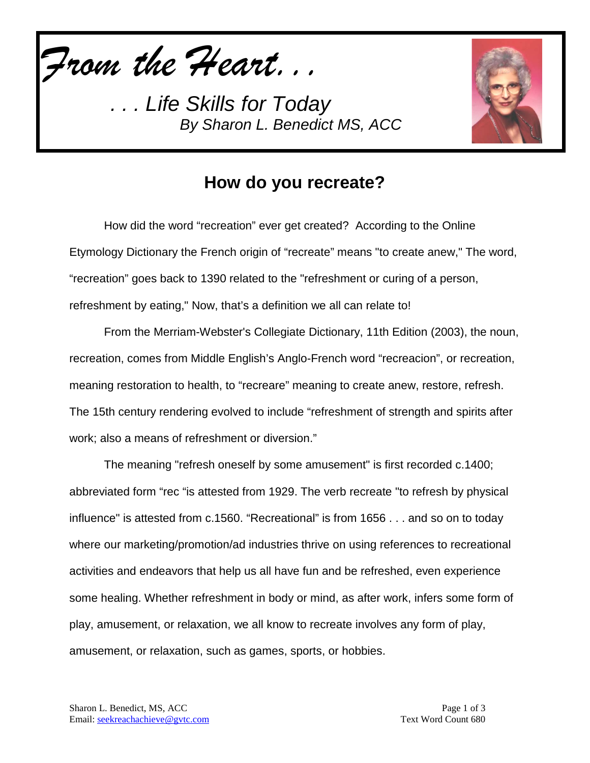*From the Heart...*

*. . . Life Skills for Today By Sharon L. Benedict MS, ACC*



## **How do you recreate?**

How did the word "recreation" ever get created? According to the Online Etymology Dictionary the French origin of "recreate" means "to create anew," The word, "recreation" goes back to 1390 related to the "refreshment or curing of a person, refreshment by eating," Now, that's a definition we all can relate to!

From the Merriam-Webster's Collegiate Dictionary, 11th Edition (2003), the noun, recreation, comes from Middle English's Anglo-French word "recreacion", or recreation, meaning restoration to health, to "recreare" meaning to create anew, restore, refresh. The 15th century rendering evolved to include "refreshment of strength and spirits after work; also a means of refreshment or diversion."

The meaning "refresh oneself by some amusement" is first recorded c.1400; abbreviated form "rec "is attested from 1929. The verb recreate "to refresh by physical influence" is attested from c.1560. "Recreational" is from 1656 . . . and so on to today where our marketing/promotion/ad industries thrive on using references to recreational activities and endeavors that help us all have fun and be refreshed, even experience some healing. Whether refreshment in body or mind, as after work, infers some form of play, amusement, or relaxation, we all know to recreate involves any form of play, amusement, or relaxation, such as games, sports, or hobbies.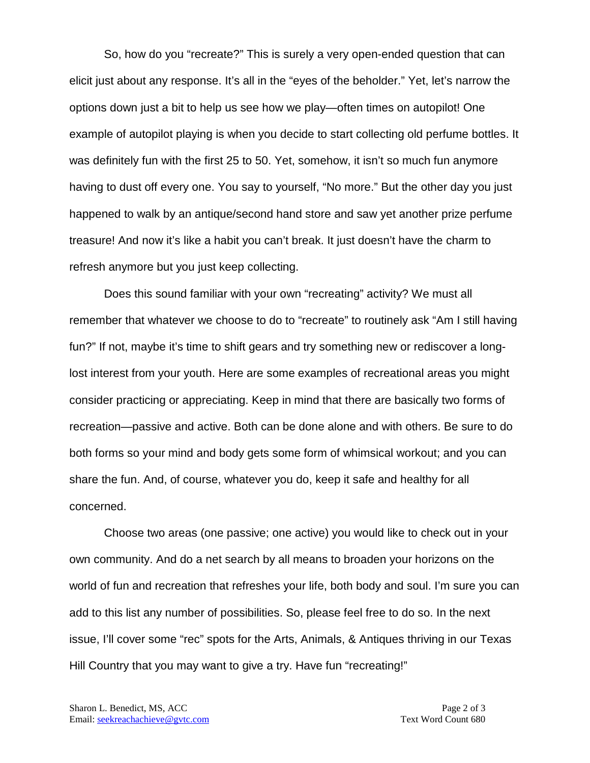So, how do you "recreate?" This is surely a very open-ended question that can elicit just about any response. It's all in the "eyes of the beholder." Yet, let's narrow the options down just a bit to help us see how we play—often times on autopilot! One example of autopilot playing is when you decide to start collecting old perfume bottles. It was definitely fun with the first 25 to 50. Yet, somehow, it isn't so much fun anymore having to dust off every one. You say to yourself, "No more." But the other day you just happened to walk by an antique/second hand store and saw yet another prize perfume treasure! And now it's like a habit you can't break. It just doesn't have the charm to refresh anymore but you just keep collecting.

Does this sound familiar with your own "recreating" activity? We must all remember that whatever we choose to do to "recreate" to routinely ask "Am I still having fun?" If not, maybe it's time to shift gears and try something new or rediscover a longlost interest from your youth. Here are some examples of recreational areas you might consider practicing or appreciating. Keep in mind that there are basically two forms of recreation—passive and active. Both can be done alone and with others. Be sure to do both forms so your mind and body gets some form of whimsical workout; and you can share the fun. And, of course, whatever you do, keep it safe and healthy for all concerned.

Choose two areas (one passive; one active) you would like to check out in your own community. And do a net search by all means to broaden your horizons on the world of fun and recreation that refreshes your life, both body and soul. I'm sure you can add to this list any number of possibilities. So, please feel free to do so. In the next issue, I'll cover some "rec" spots for the Arts, Animals, & Antiques thriving in our Texas Hill Country that you may want to give a try. Have fun "recreating!"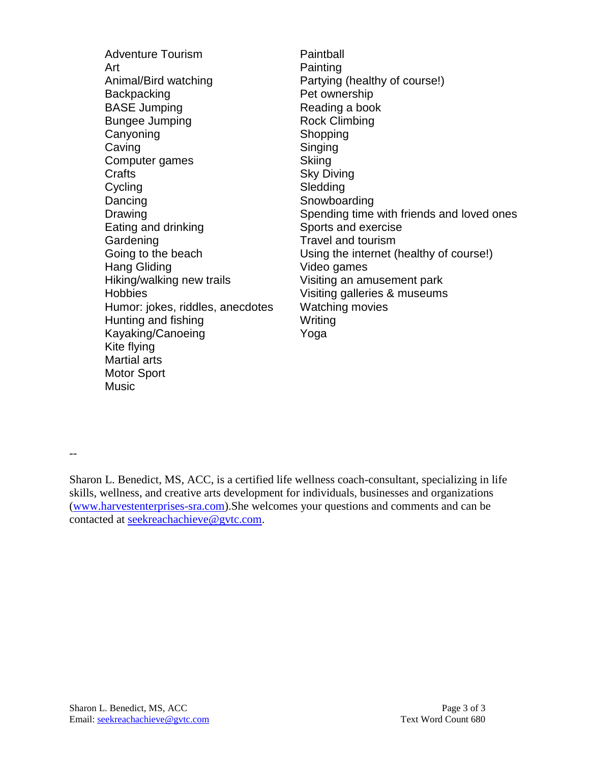Adventure Tourism Art Animal/Bird watching **Backpacking** BASE Jumping Bungee Jumping **Canyoning** Caving Computer games **Crafts Cycling** Dancing Drawing Eating and drinking **Gardening** Going to the beach Hang Gliding Hiking/walking new trails **Hobbies** Humor: jokes, riddles, anecdotes Hunting and fishing Kayaking/Canoeing Kite flying Martial arts Motor Sport Music

**Paintball Painting** Partying (healthy of course!) Pet ownership Reading a book Rock Climbing **Shopping** Singing **Skiing** Sky Diving **Sledding** Snowboarding Spending time with friends and loved ones Sports and exercise Travel and tourism Using the internet (healthy of course!) Video games Visiting an amusement park Visiting galleries & museums Watching movies **Writing** Yoga

--

Sharon L. Benedict, MS, ACC, is a certified life wellness coach-consultant, specializing in life skills, wellness, and creative arts development for individuals, businesses and organizations [\(www.harvestenterprises-sra.com\)](http://www.harvestenterprises-sra.com/).She welcomes your questions and comments and can be contacted at [seekreachachieve@gvtc.com.](mailto:seekreachachieve@gvtc.com)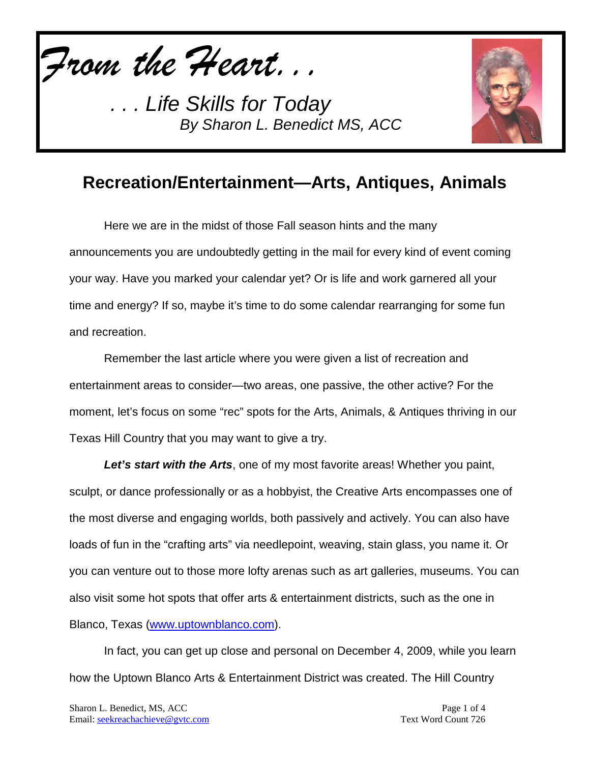*From the Heart...*

*. . . Life Skills for Today By Sharon L. Benedict MS, ACC*



## **Recreation/Entertainment—Arts, Antiques, Animals**

Here we are in the midst of those Fall season hints and the many announcements you are undoubtedly getting in the mail for every kind of event coming your way. Have you marked your calendar yet? Or is life and work garnered all your time and energy? If so, maybe it's time to do some calendar rearranging for some fun and recreation.

Remember the last article where you were given a list of recreation and entertainment areas to consider—two areas, one passive, the other active? For the moment, let's focus on some "rec" spots for the Arts, Animals, & Antiques thriving in our Texas Hill Country that you may want to give a try.

*Let's start with the Arts*, one of my most favorite areas! Whether you paint, sculpt, or dance professionally or as a hobbyist, the Creative Arts encompasses one of the most diverse and engaging worlds, both passively and actively. You can also have loads of fun in the "crafting arts" via needlepoint, weaving, stain glass, you name it. Or you can venture out to those more lofty arenas such as art galleries, museums. You can also visit some hot spots that offer arts & entertainment districts, such as the one in Blanco, Texas [\(www.uptownblanco.com\)](http://www.uptownblanco.com/).

In fact, you can get up close and personal on December 4, 2009, while you learn how the Uptown Blanco Arts & Entertainment District was created. The Hill Country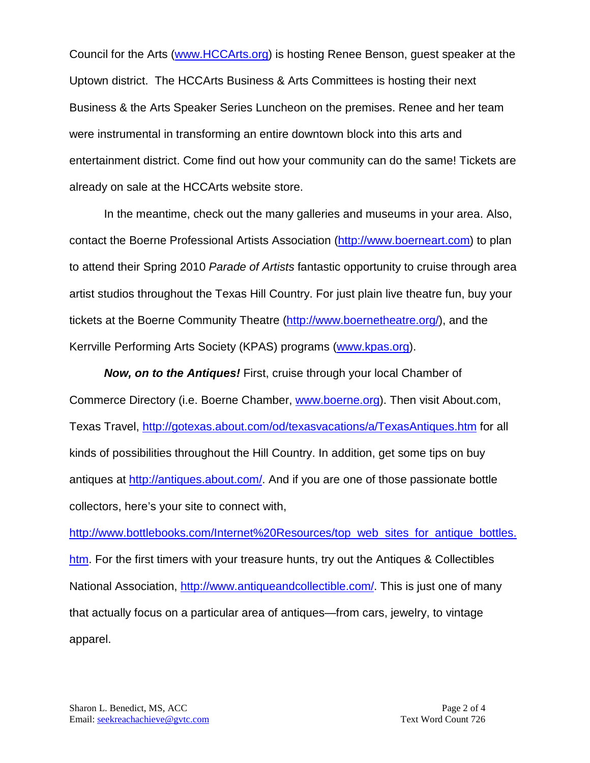Council for the Arts [\(www.HCCArts.org\)](http://www.hccarts.org/) is hosting Renee Benson, guest speaker at the Uptown district. The HCCArts Business & Arts Committees is hosting their next Business & the Arts Speaker Series Luncheon on the premises. Renee and her team were instrumental in transforming an entire downtown block into this arts and entertainment district. Come find out how your community can do the same! Tickets are already on sale at the HCCArts website store.

In the meantime, check out the many galleries and museums in your area. Also, contact the Boerne Professional Artists Association [\(http://www.boerneart.com\)](http://www.boerneart.com/) to plan to attend their Spring 2010 *Parade of Artists* fantastic opportunity to cruise through area artist studios throughout the Texas Hill Country. For just plain live theatre fun, buy your tickets at the Boerne Community Theatre [\(http://www.boernetheatre.org/\)](http://www.boernetheatre.org/), and the Kerrville Performing Arts Society (KPAS) programs [\(www.kpas.org\)](http://www.kpas.org/).

*Now, on to the Antiques!* First, cruise through your local Chamber of Commerce Directory (i.e. Boerne Chamber, [www.boerne.org\)](http://www.boerne.org/). Then visit About.com, Texas Travel,<http://gotexas.about.com/od/texasvacations/a/TexasAntiques.htm> for all kinds of possibilities throughout the Hill Country. In addition, get some tips on buy antiques at [http://antiques.about.com/.](http://antiques.about.com/) And if you are one of those passionate bottle collectors, here's your site to connect with,

[http://www.bottlebooks.com/Internet%20Resources/top\\_web\\_sites\\_for\\_antique\\_bottles.](http://www.bottlebooks.com/Internet%20Resources/top_web_sites_for_antique_bottles.htm) [htm.](http://www.bottlebooks.com/Internet%20Resources/top_web_sites_for_antique_bottles.htm) For the first timers with your treasure hunts, try out the Antiques & Collectibles National Association, [http://www.antiqueandcollectible.com/.](http://www.antiqueandcollectible.com/) This is just one of many that actually focus on a particular area of antiques—from cars, jewelry, to vintage apparel.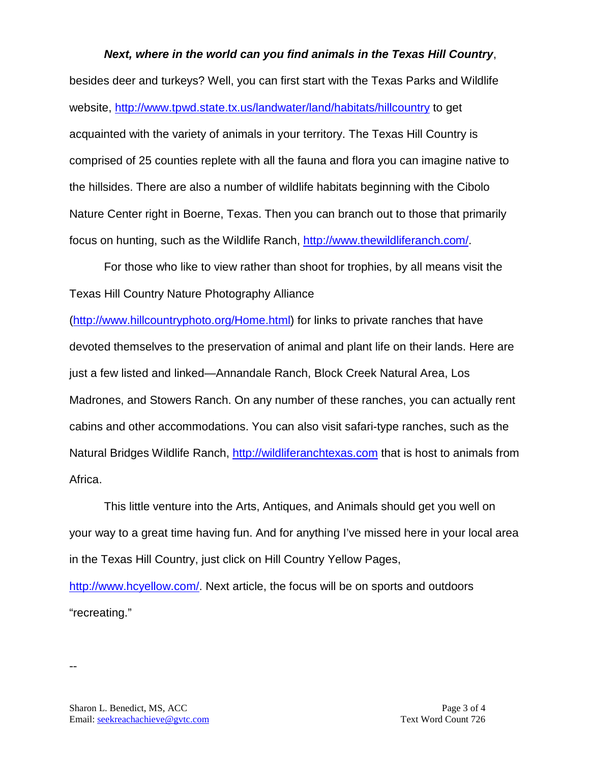## *Next, where in the world can you find animals in the Texas Hill Country*,

besides deer and turkeys? Well, you can first start with the Texas Parks and Wildlife website,<http://www.tpwd.state.tx.us/landwater/land/habitats/hillcountry> to get acquainted with the variety of animals in your territory. The Texas Hill Country is comprised of 25 counties replete with all the fauna and flora you can imagine native to the hillsides. There are also a number of wildlife habitats beginning with the Cibolo Nature Center right in Boerne, Texas. Then you can branch out to those that primarily focus on hunting, such as the Wildlife Ranch, [http://www.thewildliferanch.com/.](http://www.thewildliferanch.com/)

For those who like to view rather than shoot for trophies, by all means visit the Texas Hill Country Nature Photography Alliance

[\(http://www.hillcountryphoto.org/Home.html\)](http://www.hillcountryphoto.org/Home.html) for links to private ranches that have devoted themselves to the preservation of animal and plant life on their lands. Here are just a few listed and linked—Annandale Ranch, Block Creek Natural Area, Los Madrones, and Stowers Ranch. On any number of these ranches, you can actually rent cabins and other accommodations. You can also visit safari-type ranches, such as the Natural Bridges Wildlife Ranch, [http://wildliferanchtexas.com](http://wildliferanchtexas.com/) that is host to animals from Africa.

This little venture into the Arts, Antiques, and Animals should get you well on your way to a great time having fun. And for anything I've missed here in your local area in the Texas Hill Country, just click on Hill Country Yellow Pages,

[http://www.hcyellow.com/.](http://www.hcyellow.com/) Next article, the focus will be on sports and outdoors "recreating."

--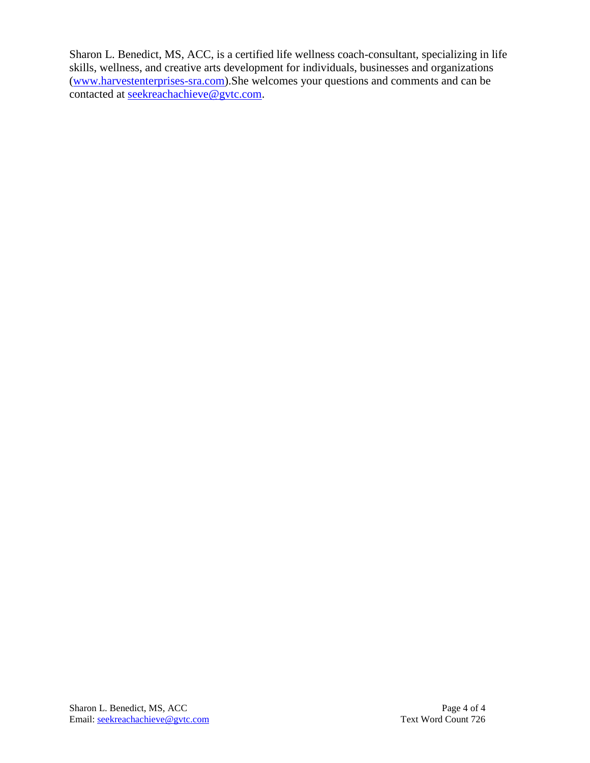Sharon L. Benedict, MS, ACC, is a certified life wellness coach-consultant, specializing in life skills, wellness, and creative arts development for individuals, businesses and organizations [\(www.harvestenterprises-sra.com\)](http://www.harvestenterprises-sra.com/).She welcomes your questions and comments and can be contacted at [seekreachachieve@gvtc.com.](mailto:seekreachachieve@gvtc.com)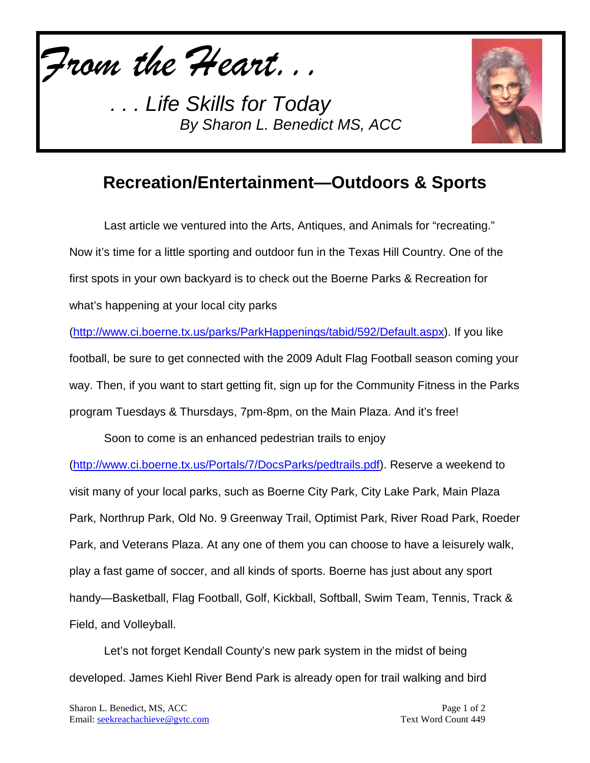*From the Heart...*

*. . . Life Skills for Today By Sharon L. Benedict MS, ACC*



## **Recreation/Entertainment—Outdoors & Sports**

Last article we ventured into the Arts, Antiques, and Animals for "recreating." Now it's time for a little sporting and outdoor fun in the Texas Hill Country. One of the first spots in your own backyard is to check out the Boerne Parks & Recreation for what's happening at your local city parks

[\(http://www.ci.boerne.tx.us/parks/ParkHappenings/tabid/592/Default.aspx\)](http://www.ci.boerne.tx.us/parks/ParkHappenings/tabid/592/Default.aspx). If you like football, be sure to get connected with the 2009 Adult Flag Football season coming your way. Then, if you want to start getting fit, sign up for the Community Fitness in the Parks program Tuesdays & Thursdays, 7pm-8pm, on the Main Plaza. And it's free!

Soon to come is an enhanced pedestrian trails to enjoy

[\(http://www.ci.boerne.tx.us/Portals/7/DocsParks/pedtrails.pdf\)](http://www.ci.boerne.tx.us/Portals/7/DocsParks/pedtrails.pdf). Reserve a weekend to visit many of your local parks, such as Boerne City Park, City Lake Park, Main Plaza Park, Northrup Park, Old No. 9 Greenway Trail, Optimist Park, River Road Park, Roeder Park, and Veterans Plaza. At any one of them you can choose to have a leisurely walk, play a fast game of soccer, and all kinds of sports. Boerne has just about any sport handy—Basketball, Flag Football, Golf, Kickball, Softball, Swim Team, Tennis, Track & Field, and Volleyball.

Let's not forget Kendall County's new park system in the midst of being developed. James Kiehl River Bend Park is already open for trail walking and bird